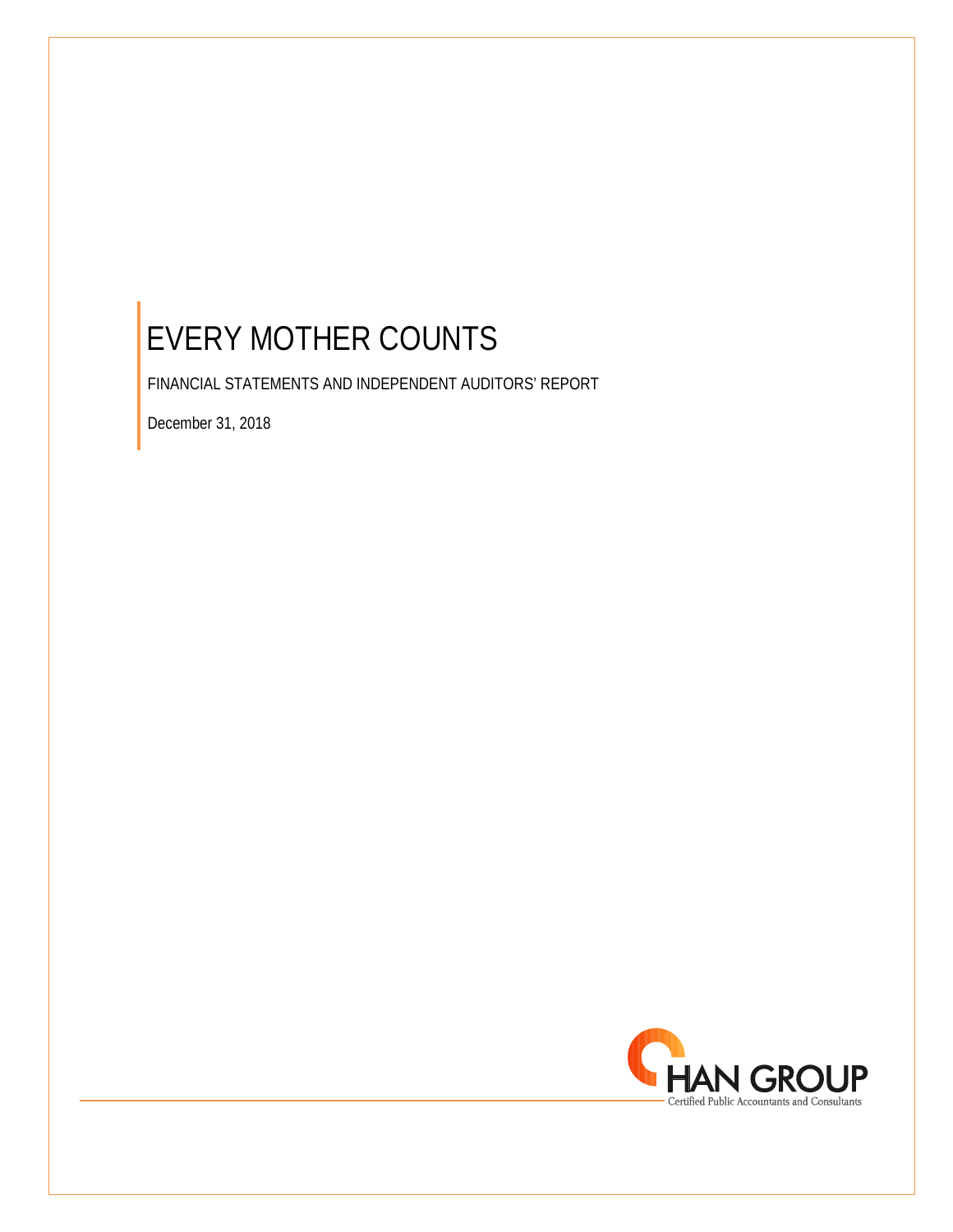FINANCIAL STATEMENTS AND INDEPENDENT AUDITORS' REPORT

December 31, 2018

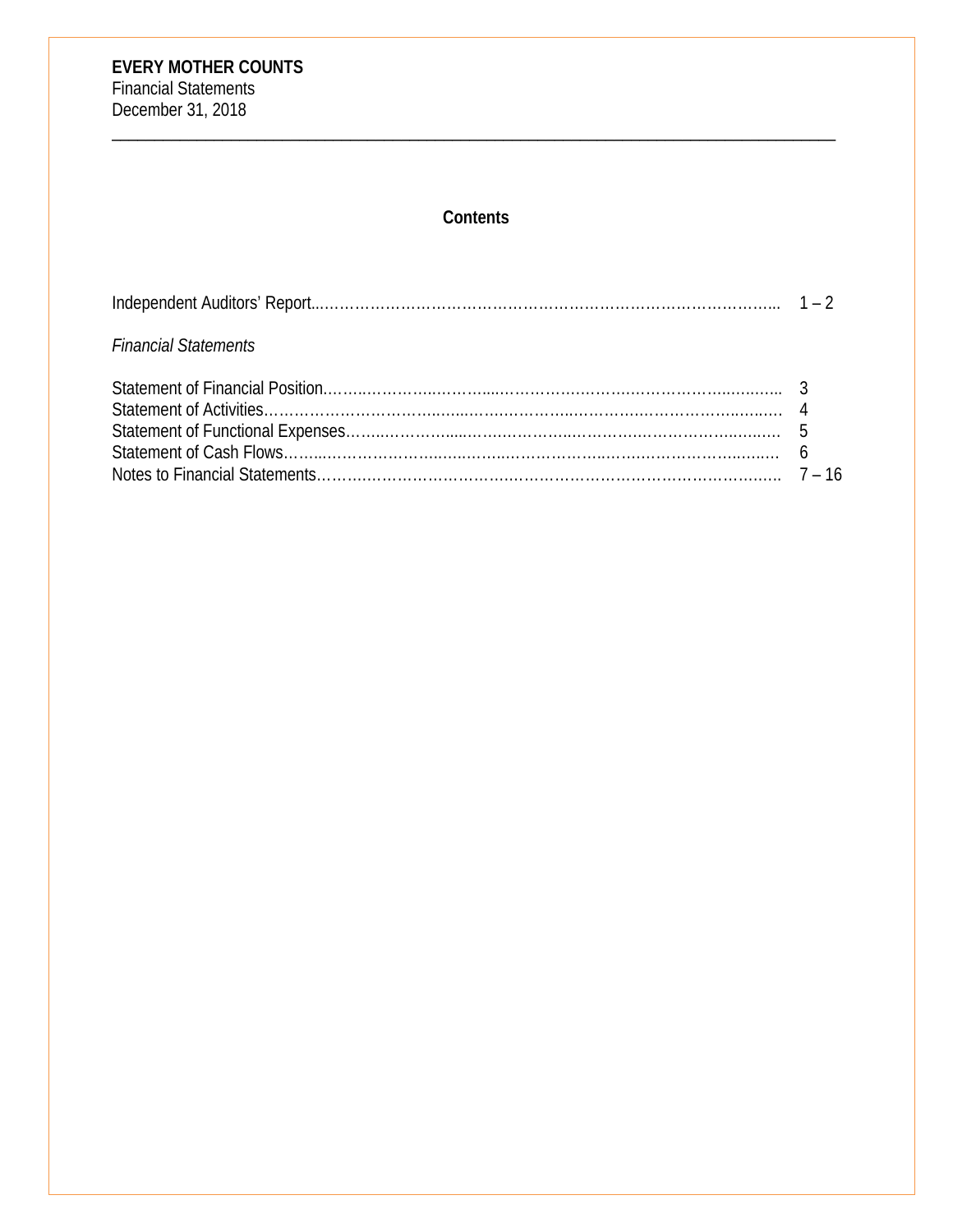# **Contents**

| <b>Financial Statements</b> |  |
|-----------------------------|--|
|                             |  |
|                             |  |
|                             |  |
|                             |  |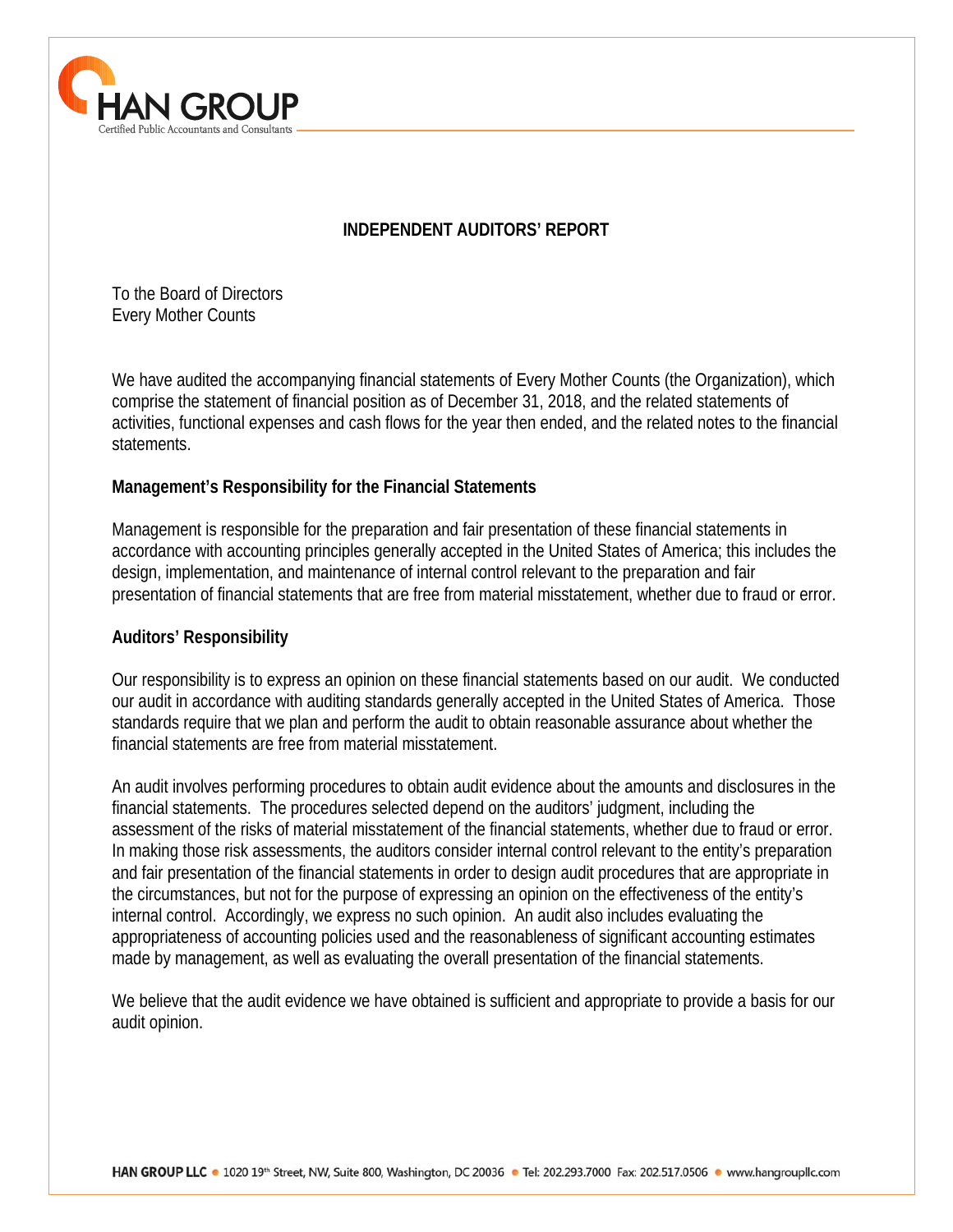

# **INDEPENDENT AUDITORS' REPORT**

To the Board of Directors Every Mother Counts

We have audited the accompanying financial statements of Every Mother Counts (the Organization), which comprise the statement of financial position as of December 31, 2018, and the related statements of activities, functional expenses and cash flows for the year then ended, and the related notes to the financial statements.

# **Management's Responsibility for the Financial Statements**

Management is responsible for the preparation and fair presentation of these financial statements in accordance with accounting principles generally accepted in the United States of America; this includes the design, implementation, and maintenance of internal control relevant to the preparation and fair presentation of financial statements that are free from material misstatement, whether due to fraud or error.

# **Auditors' Responsibility**

 $\overline{a}$ 

Our responsibility is to express an opinion on these financial statements based on our audit. We conducted our audit in accordance with auditing standards generally accepted in the United States of America. Those standards require that we plan and perform the audit to obtain reasonable assurance about whether the financial statements are free from material misstatement.

An audit involves performing procedures to obtain audit evidence about the amounts and disclosures in the financial statements. The procedures selected depend on the auditors' judgment, including the assessment of the risks of material misstatement of the financial statements, whether due to fraud or error. In making those risk assessments, the auditors consider internal control relevant to the entity's preparation and fair presentation of the financial statements in order to design audit procedures that are appropriate in the circumstances, but not for the purpose of expressing an opinion on the effectiveness of the entity's internal control. Accordingly, we express no such opinion. An audit also includes evaluating the appropriateness of accounting policies used and the reasonableness of significant accounting estimates made by management, as well as evaluating the overall presentation of the financial statements.

We believe that the audit evidence we have obtained is sufficient and appropriate to provide a basis for our audit opinion.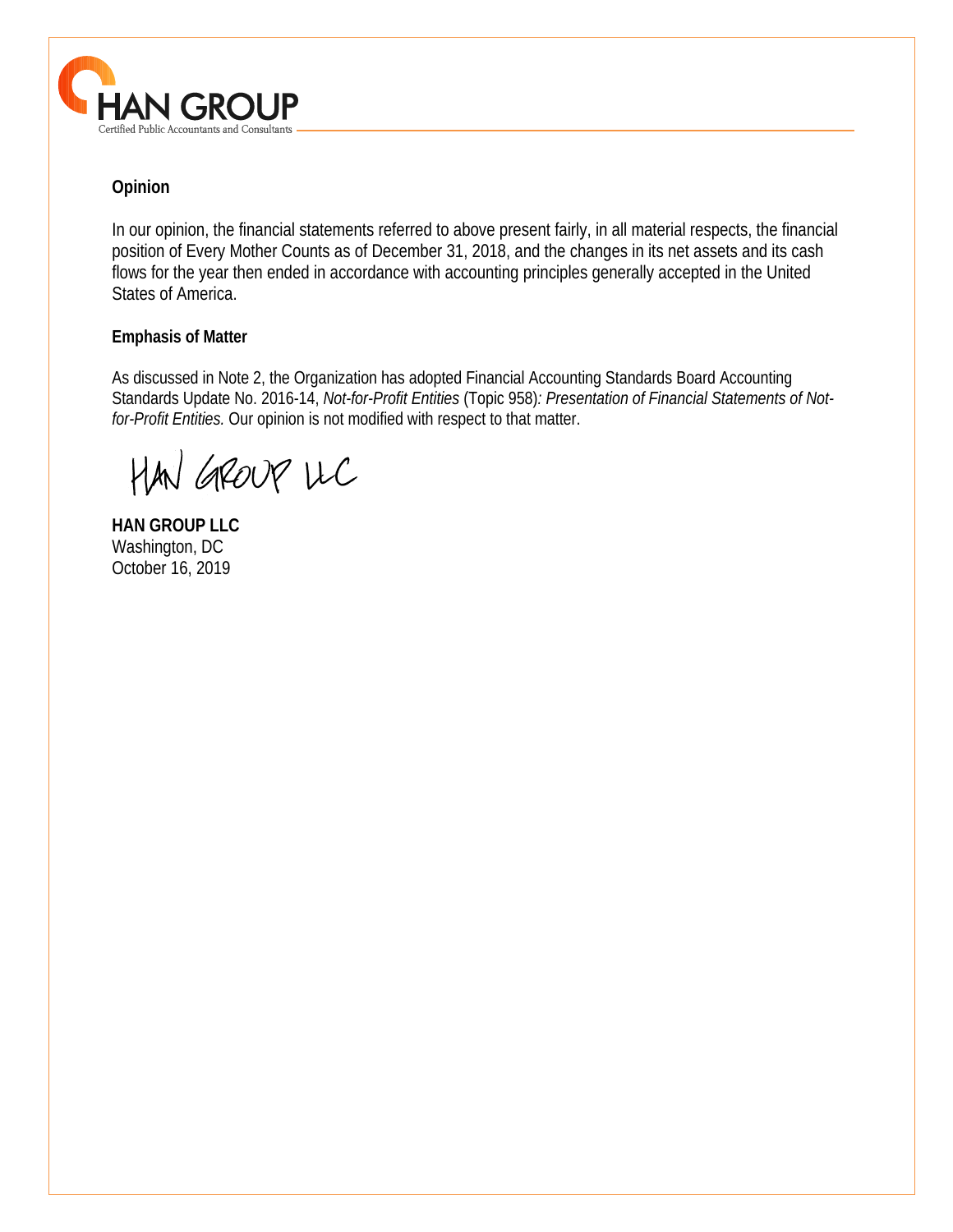

# **Opinion**

In our opinion, the financial statements referred to above present fairly, in all material respects, the financial position of Every Mother Counts as of December 31, 2018, and the changes in its net assets and its cash flows for the year then ended in accordance with accounting principles generally accepted in the United States of America.

#### **Emphasis of Matter**

As discussed in Note 2, the Organization has adopted Financial Accounting Standards Board Accounting Standards Update No. 2016-14, *Not-for-Profit Entities* (Topic 958)*: Presentation of Financial Statements of Notfor-Profit Entities.* Our opinion is not modified with respect to that matter.

HAN GROUP UC

**HAN GROUP LLC**  Washington, DC October 16, 2019

 $\overline{a}$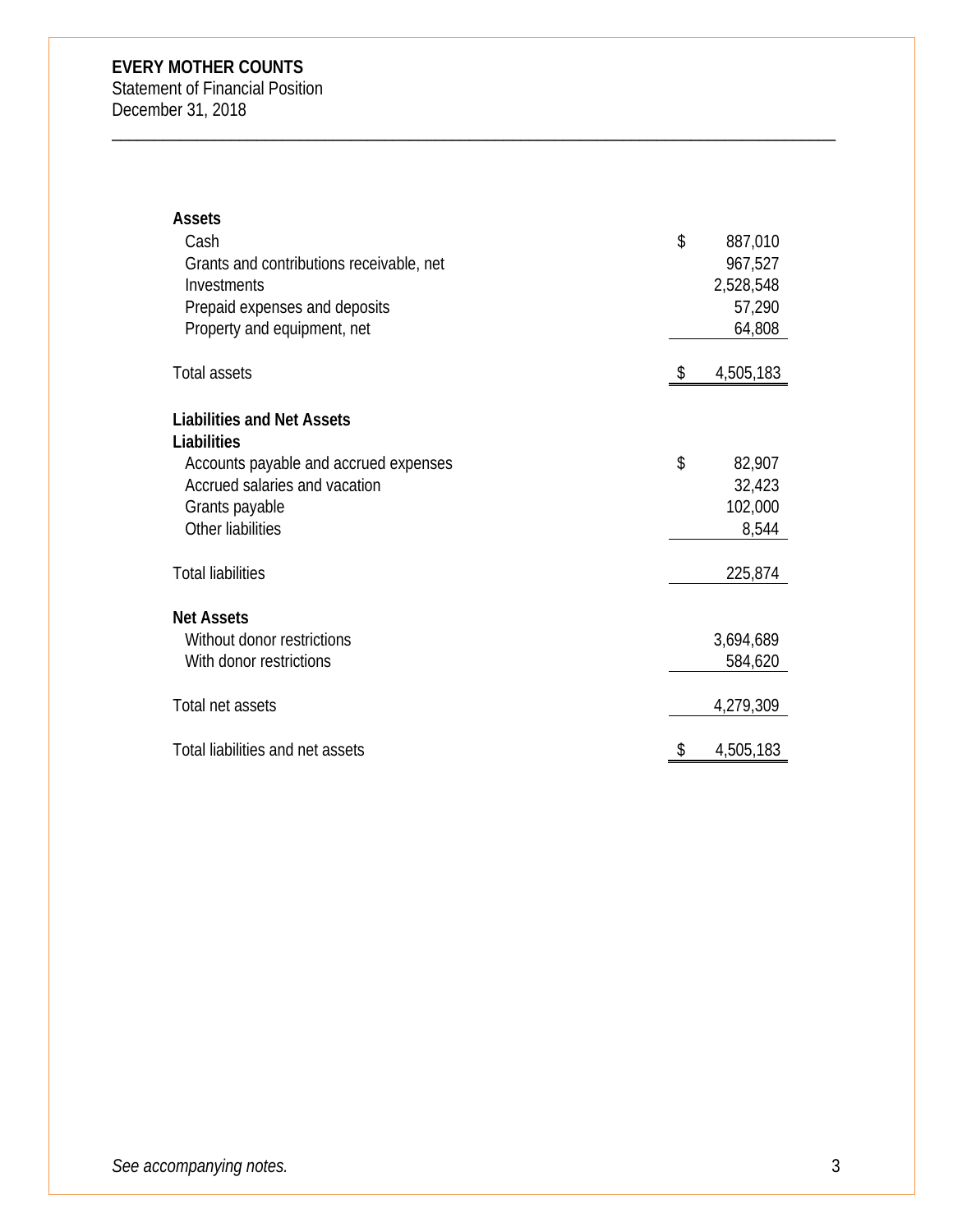Statement of Financial Position December 31, 2018

| <b>Assets</b>                            |                 |
|------------------------------------------|-----------------|
| Cash                                     | \$<br>887,010   |
| Grants and contributions receivable, net | 967,527         |
| Investments                              | 2,528,548       |
| Prepaid expenses and deposits            | 57,290          |
| Property and equipment, net              | 64,808          |
|                                          |                 |
| <b>Total assets</b>                      | \$<br>4,505,183 |
|                                          |                 |
| <b>Liabilities and Net Assets</b>        |                 |
| Liabilities                              |                 |
| Accounts payable and accrued expenses    | \$<br>82,907    |
| Accrued salaries and vacation            | 32,423          |
| Grants payable                           | 102,000         |
| Other liabilities                        | 8,544           |
| <b>Total liabilities</b>                 |                 |
|                                          | 225,874         |
| <b>Net Assets</b>                        |                 |
| Without donor restrictions               | 3,694,689       |
| With donor restrictions                  | 584,620         |
|                                          |                 |
| Total net assets                         | 4,279,309       |
| Total liabilities and net assets         | \$<br>4,505,183 |
|                                          |                 |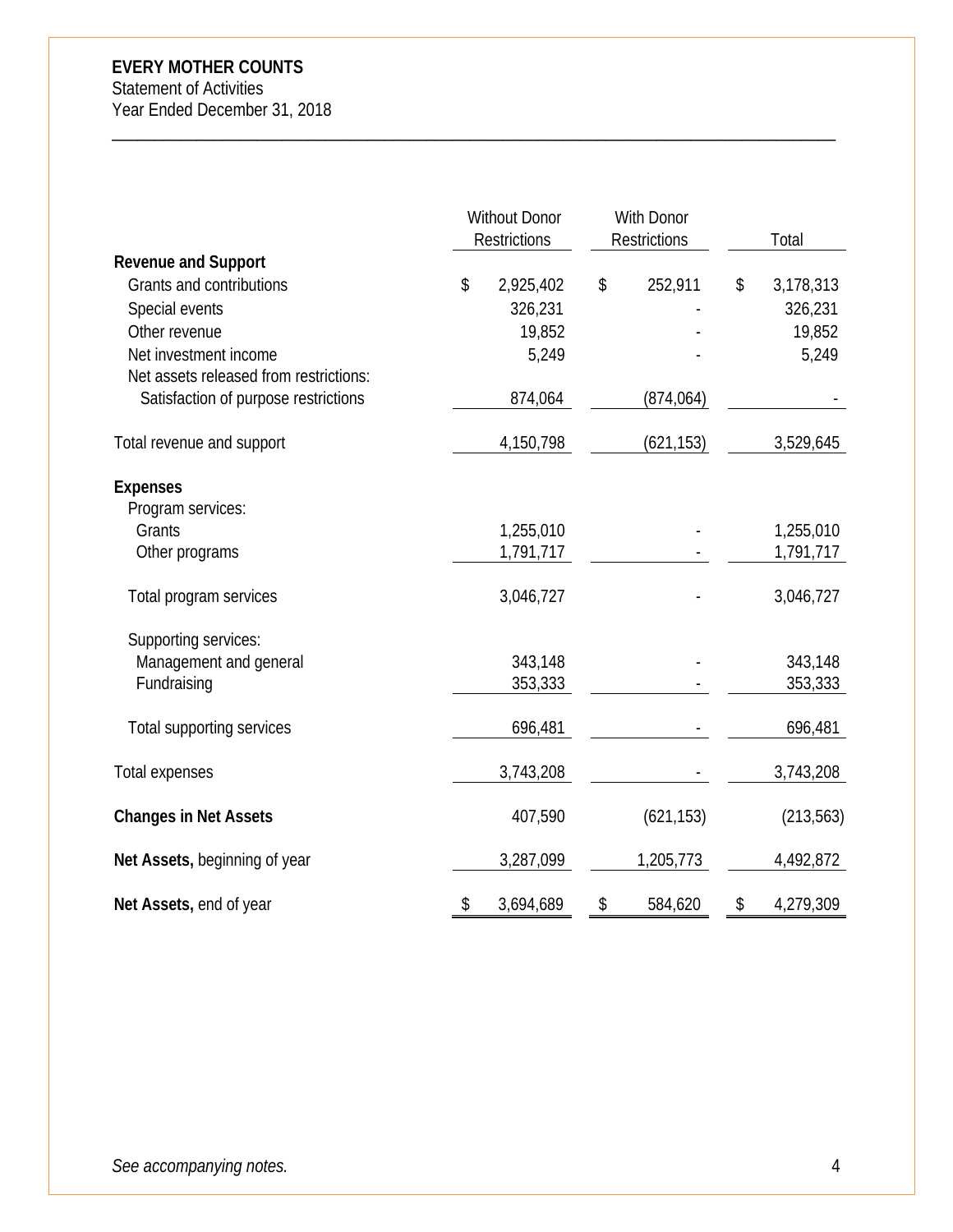Statement of Activities Year Ended December 31, 2018

|                                        |    | <b>Without Donor</b><br><b>Restrictions</b> |    |            |    | With Donor<br><b>Restrictions</b> |  | Total |
|----------------------------------------|----|---------------------------------------------|----|------------|----|-----------------------------------|--|-------|
| <b>Revenue and Support</b>             |    |                                             |    |            |    |                                   |  |       |
| Grants and contributions               | \$ | 2,925,402                                   | \$ | 252,911    | \$ | 3,178,313                         |  |       |
| Special events                         |    | 326,231                                     |    |            |    | 326,231                           |  |       |
| Other revenue                          |    | 19,852                                      |    |            |    | 19,852                            |  |       |
| Net investment income                  |    | 5,249                                       |    |            |    | 5,249                             |  |       |
| Net assets released from restrictions: |    |                                             |    |            |    |                                   |  |       |
| Satisfaction of purpose restrictions   |    | 874,064                                     |    | (874, 064) |    |                                   |  |       |
| Total revenue and support              |    | 4,150,798                                   |    | (621, 153) |    | 3,529,645                         |  |       |
| <b>Expenses</b>                        |    |                                             |    |            |    |                                   |  |       |
| Program services:                      |    |                                             |    |            |    |                                   |  |       |
| Grants                                 |    | 1,255,010                                   |    |            |    | 1,255,010                         |  |       |
| Other programs                         |    | 1,791,717                                   |    |            |    | 1,791,717                         |  |       |
| Total program services                 |    | 3,046,727                                   |    |            |    | 3,046,727                         |  |       |
| Supporting services:                   |    |                                             |    |            |    |                                   |  |       |
| Management and general                 |    | 343,148                                     |    |            |    | 343,148                           |  |       |
| Fundraising                            |    | 353,333                                     |    |            |    | 353,333                           |  |       |
| Total supporting services              |    | 696,481                                     |    |            |    | 696,481                           |  |       |
| Total expenses                         |    | 3,743,208                                   |    |            |    | 3,743,208                         |  |       |
| <b>Changes in Net Assets</b>           |    | 407,590                                     |    | (621, 153) |    | (213, 563)                        |  |       |
| Net Assets, beginning of year          |    | 3,287,099                                   |    | 1,205,773  |    | 4,492,872                         |  |       |
| Net Assets, end of year                | \$ | 3,694,689                                   | \$ | 584,620    | \$ | 4,279,309                         |  |       |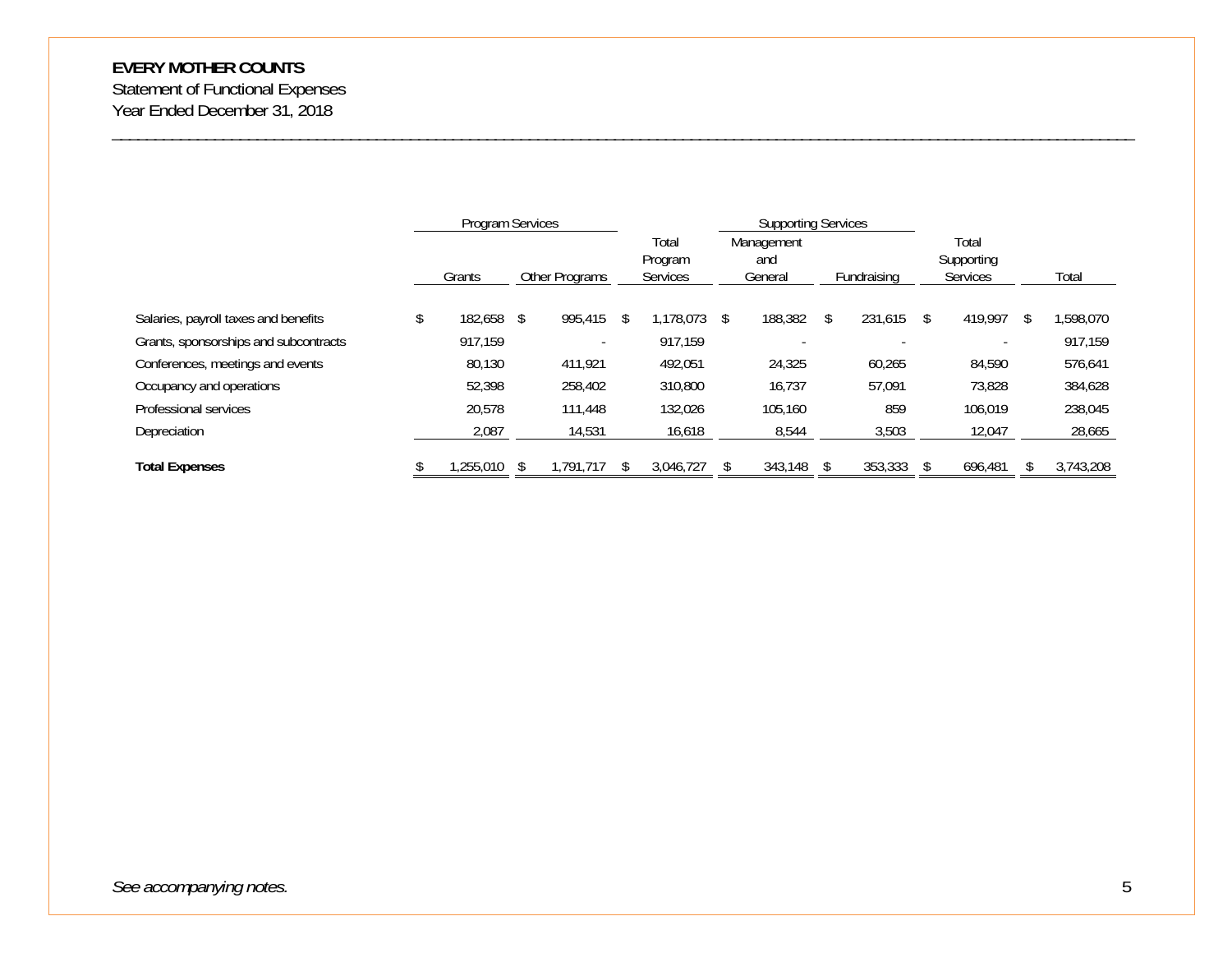Statement of Functional Expenses Year Ended December 31, 2018

|                                       | Program Services |                |               | <b>Supporting Services</b>   |   |                              |  |             |    |                                        |   |           |
|---------------------------------------|------------------|----------------|---------------|------------------------------|---|------------------------------|--|-------------|----|----------------------------------------|---|-----------|
|                                       | Grants           | Other Programs |               | Total<br>Program<br>Services |   | Management<br>and<br>General |  | Fundraising |    | Total<br>Supporting<br><b>Services</b> |   | Total     |
|                                       |                  |                |               |                              |   |                              |  |             |    |                                        |   |           |
| Salaries, payroll taxes and benefits  | 182,658 \$       | 995,415        | <sup>\$</sup> | 1.178.073                    | S | 188,382                      |  | 231.615     | S. | 419.997                                | ъ | 1,598,070 |
| Grants, sponsorships and subcontracts | 917,159          |                |               | 917,159                      |   |                              |  |             |    |                                        |   | 917,159   |
| Conferences, meetings and events      | 80,130           | 411.921        |               | 492.051                      |   | 24,325                       |  | 60,265      |    | 84.590                                 |   | 576,641   |
| Occupancy and operations              | 52,398           | 258,402        |               | 310,800                      |   | 16.737                       |  | 57,091      |    | 73,828                                 |   | 384,628   |
| Professional services                 | 20.578           | 111,448        |               | 132.026                      |   | 105,160                      |  | 859         |    | 106.019                                |   | 238,045   |
| Depreciation                          | 2,087            | 14,531         |               | 16,618                       |   | 8,544                        |  | 3,503       |    | 12,047                                 |   | 28,665    |
| <b>Total Expenses</b>                 | ,255,010         | 1.791.717      |               | 3,046,727                    |   | 343,148                      |  | 353,333     |    | 696,481                                |   | 3,743,208 |

\_\_\_\_\_\_\_\_\_\_\_\_\_\_\_\_\_\_\_\_\_\_\_\_\_\_\_\_\_\_\_\_\_\_\_\_\_\_\_\_\_\_\_\_\_\_\_\_\_\_\_\_\_\_\_\_\_\_\_\_\_\_\_\_\_\_\_\_\_\_\_\_\_\_\_\_\_\_\_\_\_\_\_\_\_\_\_\_\_\_\_\_\_\_\_\_\_\_\_\_\_\_\_\_\_\_\_\_\_\_\_\_\_\_\_\_\_\_\_\_

*See accompanying notes.* 5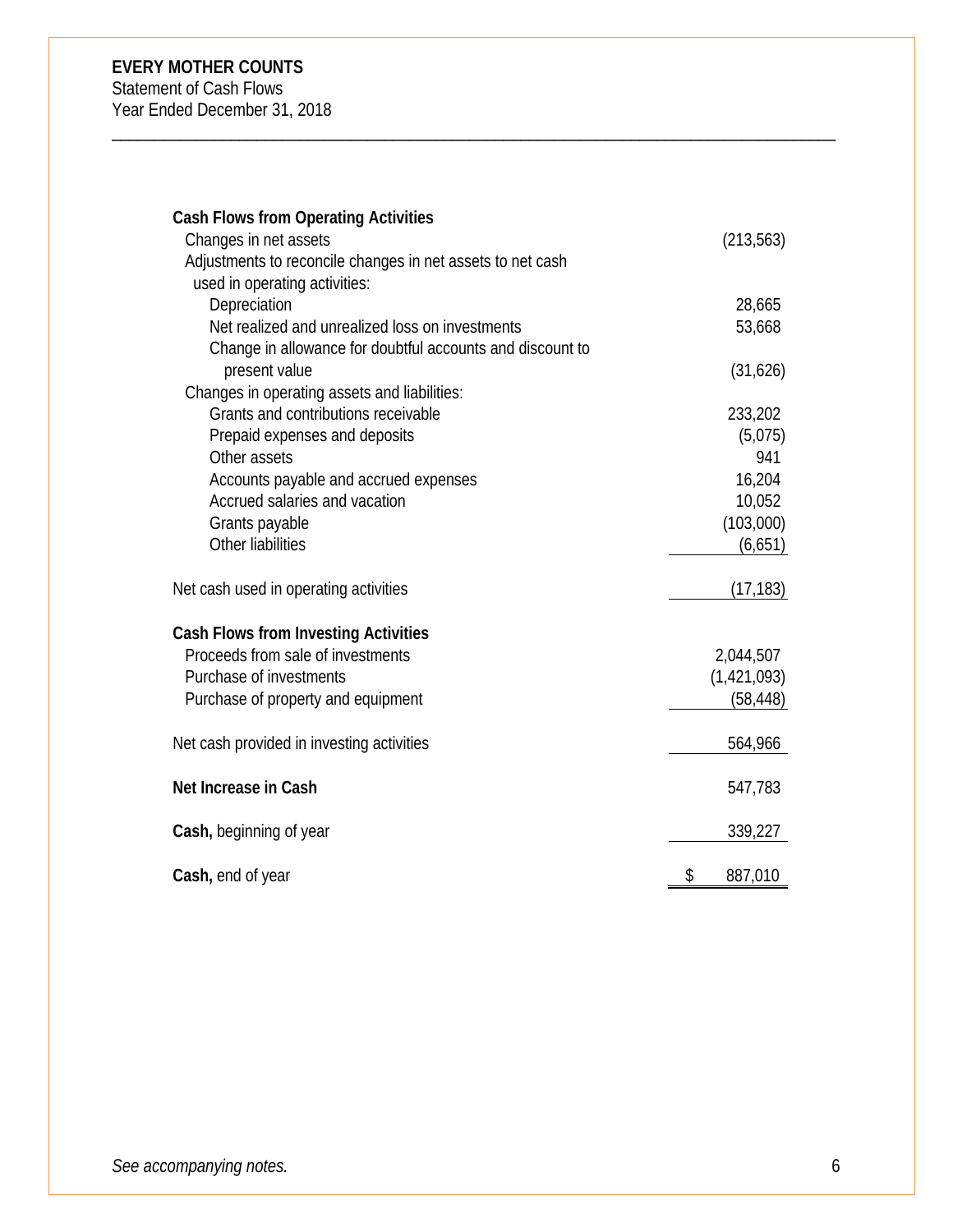Statement of Cash Flows

Year Ended December 31, 2018

| <b>Cash Flows from Operating Activities</b>                |               |
|------------------------------------------------------------|---------------|
| Changes in net assets                                      | (213, 563)    |
| Adjustments to reconcile changes in net assets to net cash |               |
| used in operating activities:                              |               |
| Depreciation                                               | 28,665        |
| Net realized and unrealized loss on investments            | 53,668        |
| Change in allowance for doubtful accounts and discount to  |               |
| present value                                              | (31,626)      |
| Changes in operating assets and liabilities:               |               |
| Grants and contributions receivable                        | 233,202       |
| Prepaid expenses and deposits                              | (5,075)       |
| Other assets                                               | 941           |
| Accounts payable and accrued expenses                      | 16,204        |
| Accrued salaries and vacation                              | 10,052        |
| Grants payable                                             | (103,000)     |
| Other liabilities                                          | (6,651)       |
| Net cash used in operating activities                      | (17, 183)     |
| <b>Cash Flows from Investing Activities</b>                |               |
| Proceeds from sale of investments                          | 2,044,507     |
| Purchase of investments                                    | (1, 421, 093) |
| Purchase of property and equipment                         | (58, 448)     |
| Net cash provided in investing activities                  | 564,966       |
|                                                            |               |
| Net Increase in Cash                                       | 547,783       |
| Cash, beginning of year                                    | 339,227       |
| Cash, end of year                                          | \$<br>887,010 |
|                                                            |               |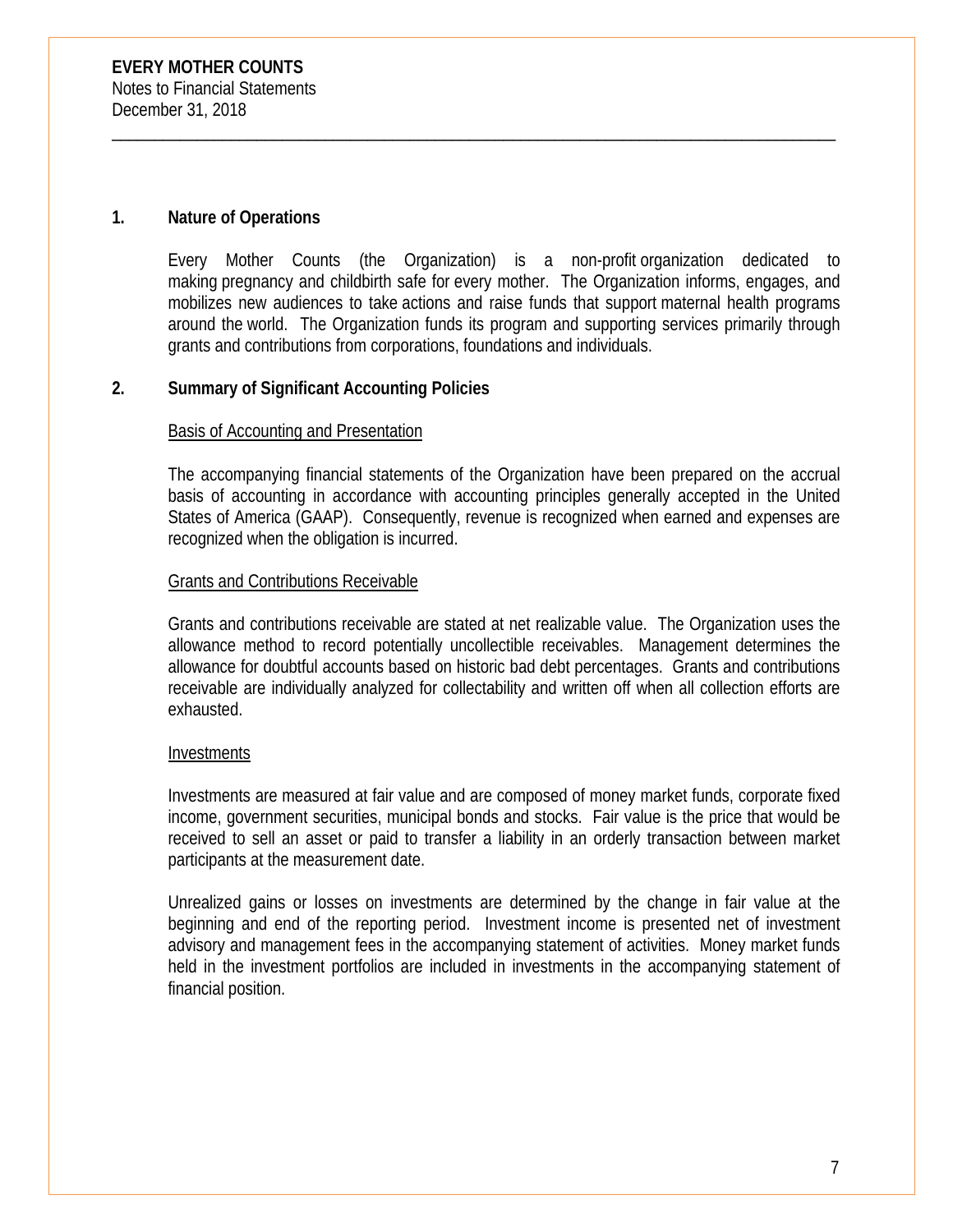#### **1. Nature of Operations**

Every Mother Counts (the Organization) is a non-profit organization dedicated to making pregnancy and childbirth safe for every mother. The Organization informs, engages, and mobilizes new audiences to take actions and raise funds that support maternal health programs around the world. The Organization funds its program and supporting services primarily through grants and contributions from corporations, foundations and individuals.

\_\_\_\_\_\_\_\_\_\_\_\_\_\_\_\_\_\_\_\_\_\_\_\_\_\_\_\_\_\_\_\_\_\_\_\_\_\_\_\_\_\_\_\_\_\_\_\_\_\_\_\_\_\_\_\_\_\_\_\_\_\_\_\_\_\_\_\_\_\_\_\_\_\_\_\_\_\_\_\_\_\_\_\_\_

#### **2. Summary of Significant Accounting Policies**

#### Basis of Accounting and Presentation

The accompanying financial statements of the Organization have been prepared on the accrual basis of accounting in accordance with accounting principles generally accepted in the United States of America (GAAP). Consequently, revenue is recognized when earned and expenses are recognized when the obligation is incurred.

#### **Grants and Contributions Receivable**

Grants and contributions receivable are stated at net realizable value. The Organization uses the allowance method to record potentially uncollectible receivables. Management determines the allowance for doubtful accounts based on historic bad debt percentages. Grants and contributions receivable are individually analyzed for collectability and written off when all collection efforts are exhausted.

#### Investments

Investments are measured at fair value and are composed of money market funds, corporate fixed income, government securities, municipal bonds and stocks. Fair value is the price that would be received to sell an asset or paid to transfer a liability in an orderly transaction between market participants at the measurement date.

Unrealized gains or losses on investments are determined by the change in fair value at the beginning and end of the reporting period. Investment income is presented net of investment advisory and management fees in the accompanying statement of activities. Money market funds held in the investment portfolios are included in investments in the accompanying statement of financial position.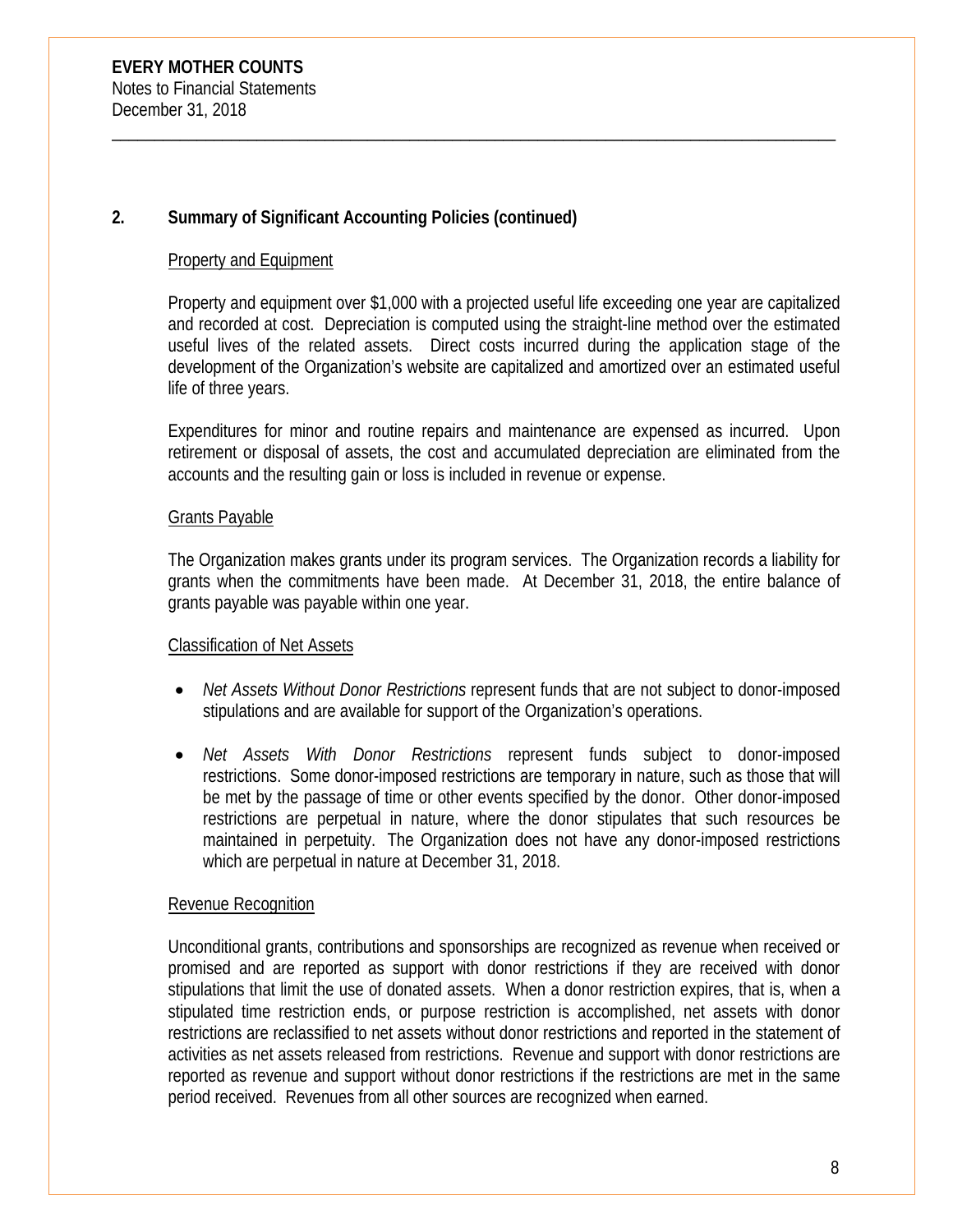# **2. Summary of Significant Accounting Policies (continued)**

#### Property and Equipment

Property and equipment over \$1,000 with a projected useful life exceeding one year are capitalized and recorded at cost. Depreciation is computed using the straight-line method over the estimated useful lives of the related assets. Direct costs incurred during the application stage of the development of the Organization's website are capitalized and amortized over an estimated useful life of three years.

\_\_\_\_\_\_\_\_\_\_\_\_\_\_\_\_\_\_\_\_\_\_\_\_\_\_\_\_\_\_\_\_\_\_\_\_\_\_\_\_\_\_\_\_\_\_\_\_\_\_\_\_\_\_\_\_\_\_\_\_\_\_\_\_\_\_\_\_\_\_\_\_\_\_\_\_\_\_\_\_\_\_\_\_\_

Expenditures for minor and routine repairs and maintenance are expensed as incurred. Upon retirement or disposal of assets, the cost and accumulated depreciation are eliminated from the accounts and the resulting gain or loss is included in revenue or expense.

#### Grants Payable

The Organization makes grants under its program services. The Organization records a liability for grants when the commitments have been made. At December 31, 2018, the entire balance of grants payable was payable within one year.

# Classification of Net Assets

- *Net Assets Without Donor Restrictions* represent funds that are not subject to donor-imposed stipulations and are available for support of the Organization's operations.
- *Net Assets With Donor Restrictions* represent funds subject to donor-imposed restrictions. Some donor-imposed restrictions are temporary in nature, such as those that will be met by the passage of time or other events specified by the donor. Other donor-imposed restrictions are perpetual in nature, where the donor stipulates that such resources be maintained in perpetuity. The Organization does not have any donor-imposed restrictions which are perpetual in nature at December 31, 2018.

# Revenue Recognition

Unconditional grants, contributions and sponsorships are recognized as revenue when received or promised and are reported as support with donor restrictions if they are received with donor stipulations that limit the use of donated assets. When a donor restriction expires, that is, when a stipulated time restriction ends, or purpose restriction is accomplished, net assets with donor restrictions are reclassified to net assets without donor restrictions and reported in the statement of activities as net assets released from restrictions. Revenue and support with donor restrictions are reported as revenue and support without donor restrictions if the restrictions are met in the same period received. Revenues from all other sources are recognized when earned.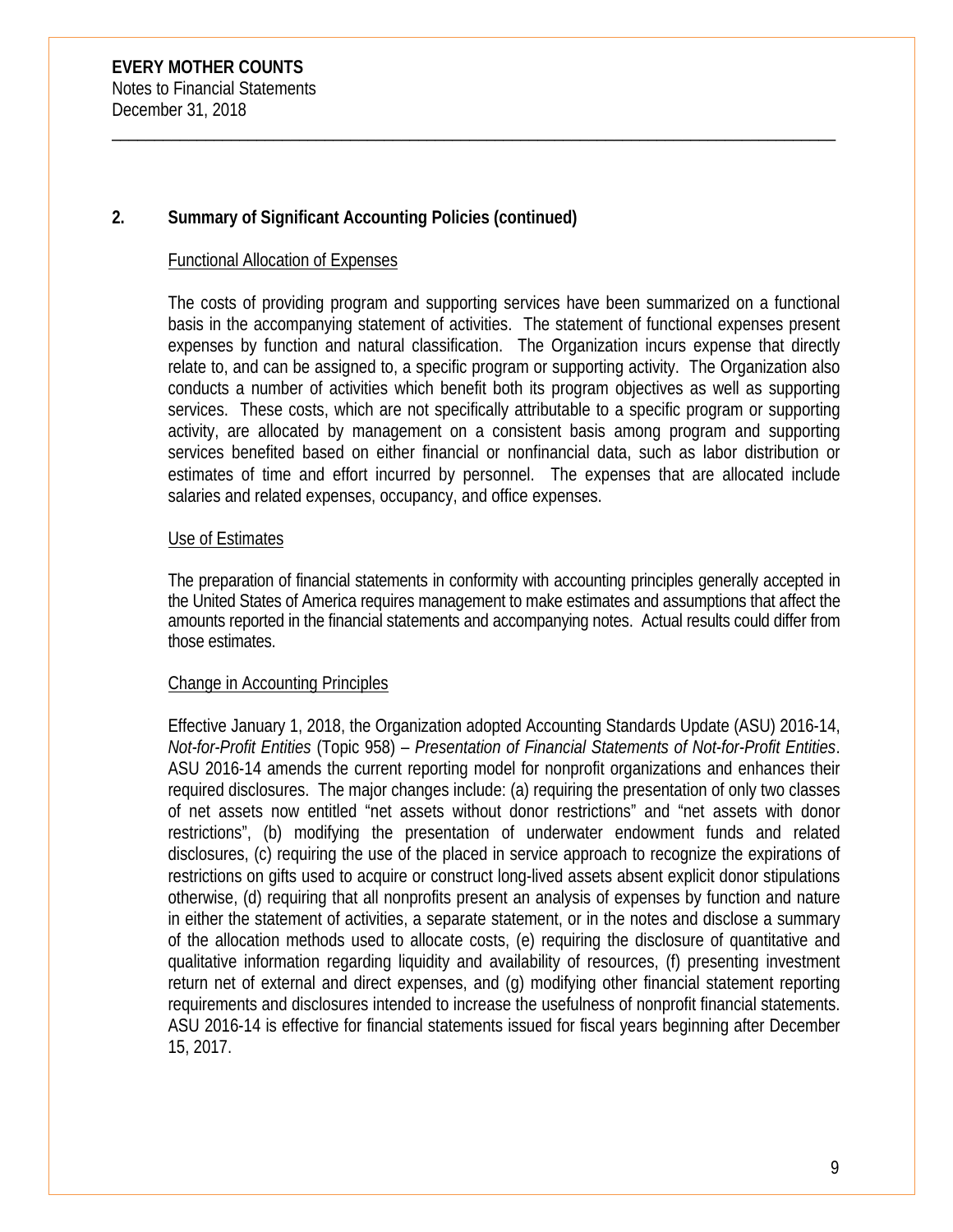# **2. Summary of Significant Accounting Policies (continued)**

#### Functional Allocation of Expenses

The costs of providing program and supporting services have been summarized on a functional basis in the accompanying statement of activities. The statement of functional expenses present expenses by function and natural classification. The Organization incurs expense that directly relate to, and can be assigned to, a specific program or supporting activity. The Organization also conducts a number of activities which benefit both its program objectives as well as supporting services. These costs, which are not specifically attributable to a specific program or supporting activity, are allocated by management on a consistent basis among program and supporting services benefited based on either financial or nonfinancial data, such as labor distribution or estimates of time and effort incurred by personnel. The expenses that are allocated include salaries and related expenses, occupancy, and office expenses.

\_\_\_\_\_\_\_\_\_\_\_\_\_\_\_\_\_\_\_\_\_\_\_\_\_\_\_\_\_\_\_\_\_\_\_\_\_\_\_\_\_\_\_\_\_\_\_\_\_\_\_\_\_\_\_\_\_\_\_\_\_\_\_\_\_\_\_\_\_\_\_\_\_\_\_\_\_\_\_\_\_\_\_\_\_

#### Use of Estimates

The preparation of financial statements in conformity with accounting principles generally accepted in the United States of America requires management to make estimates and assumptions that affect the amounts reported in the financial statements and accompanying notes. Actual results could differ from those estimates.

#### Change in Accounting Principles

Effective January 1, 2018, the Organization adopted Accounting Standards Update (ASU) 2016-14, *Not-for-Profit Entities* (Topic 958) – *Presentation of Financial Statements of Not-for-Profit Entities*. ASU 2016-14 amends the current reporting model for nonprofit organizations and enhances their required disclosures. The major changes include: (a) requiring the presentation of only two classes of net assets now entitled "net assets without donor restrictions" and "net assets with donor restrictions", (b) modifying the presentation of underwater endowment funds and related disclosures, (c) requiring the use of the placed in service approach to recognize the expirations of restrictions on gifts used to acquire or construct long-lived assets absent explicit donor stipulations otherwise, (d) requiring that all nonprofits present an analysis of expenses by function and nature in either the statement of activities, a separate statement, or in the notes and disclose a summary of the allocation methods used to allocate costs, (e) requiring the disclosure of quantitative and qualitative information regarding liquidity and availability of resources, (f) presenting investment return net of external and direct expenses, and (g) modifying other financial statement reporting requirements and disclosures intended to increase the usefulness of nonprofit financial statements. ASU 2016-14 is effective for financial statements issued for fiscal years beginning after December 15, 2017.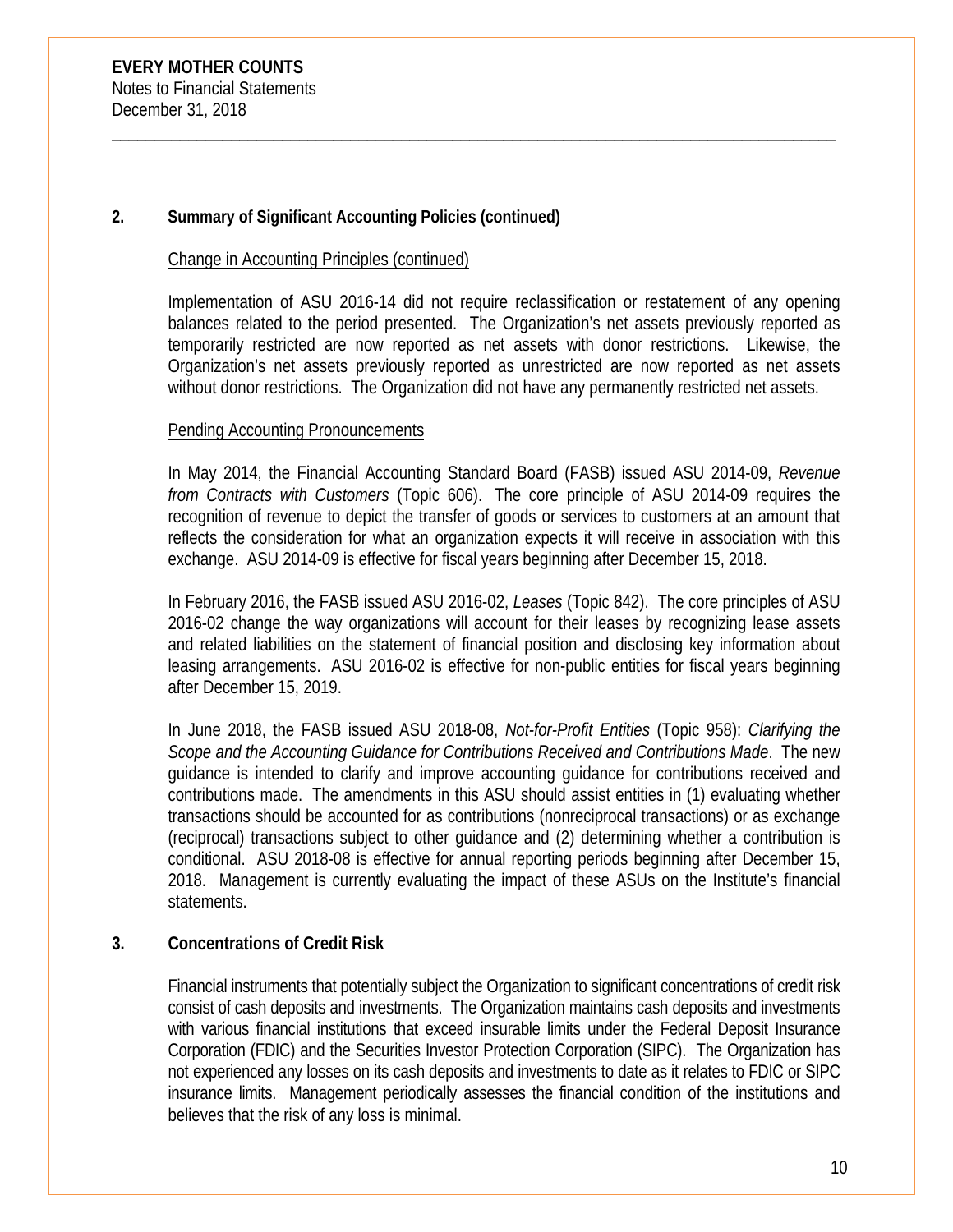# **2. Summary of Significant Accounting Policies (continued)**

#### Change in Accounting Principles (continued)

Implementation of ASU 2016-14 did not require reclassification or restatement of any opening balances related to the period presented. The Organization's net assets previously reported as temporarily restricted are now reported as net assets with donor restrictions. Likewise, the Organization's net assets previously reported as unrestricted are now reported as net assets without donor restrictions. The Organization did not have any permanently restricted net assets.

\_\_\_\_\_\_\_\_\_\_\_\_\_\_\_\_\_\_\_\_\_\_\_\_\_\_\_\_\_\_\_\_\_\_\_\_\_\_\_\_\_\_\_\_\_\_\_\_\_\_\_\_\_\_\_\_\_\_\_\_\_\_\_\_\_\_\_\_\_\_\_\_\_\_\_\_\_\_\_\_\_\_\_\_\_

#### Pending Accounting Pronouncements

In May 2014, the Financial Accounting Standard Board (FASB) issued ASU 2014-09, *Revenue from Contracts with Customers* (Topic 606). The core principle of ASU 2014-09 requires the recognition of revenue to depict the transfer of goods or services to customers at an amount that reflects the consideration for what an organization expects it will receive in association with this exchange. ASU 2014-09 is effective for fiscal years beginning after December 15, 2018.

In February 2016, the FASB issued ASU 2016-02, *Leases* (Topic 842). The core principles of ASU 2016-02 change the way organizations will account for their leases by recognizing lease assets and related liabilities on the statement of financial position and disclosing key information about leasing arrangements. ASU 2016-02 is effective for non-public entities for fiscal years beginning after December 15, 2019.

In June 2018, the FASB issued ASU 2018-08, *Not-for-Profit Entities* (Topic 958): *Clarifying the Scope and the Accounting Guidance for Contributions Received and Contributions Made*. The new guidance is intended to clarify and improve accounting guidance for contributions received and contributions made. The amendments in this ASU should assist entities in (1) evaluating whether transactions should be accounted for as contributions (nonreciprocal transactions) or as exchange (reciprocal) transactions subject to other guidance and (2) determining whether a contribution is conditional. ASU 2018-08 is effective for annual reporting periods beginning after December 15, 2018. Management is currently evaluating the impact of these ASUs on the Institute's financial statements.

# **3. Concentrations of Credit Risk**

Financial instruments that potentially subject the Organization to significant concentrations of credit risk consist of cash deposits and investments. The Organization maintains cash deposits and investments with various financial institutions that exceed insurable limits under the Federal Deposit Insurance Corporation (FDIC) and the Securities Investor Protection Corporation (SIPC). The Organization has not experienced any losses on its cash deposits and investments to date as it relates to FDIC or SIPC insurance limits. Management periodically assesses the financial condition of the institutions and believes that the risk of any loss is minimal.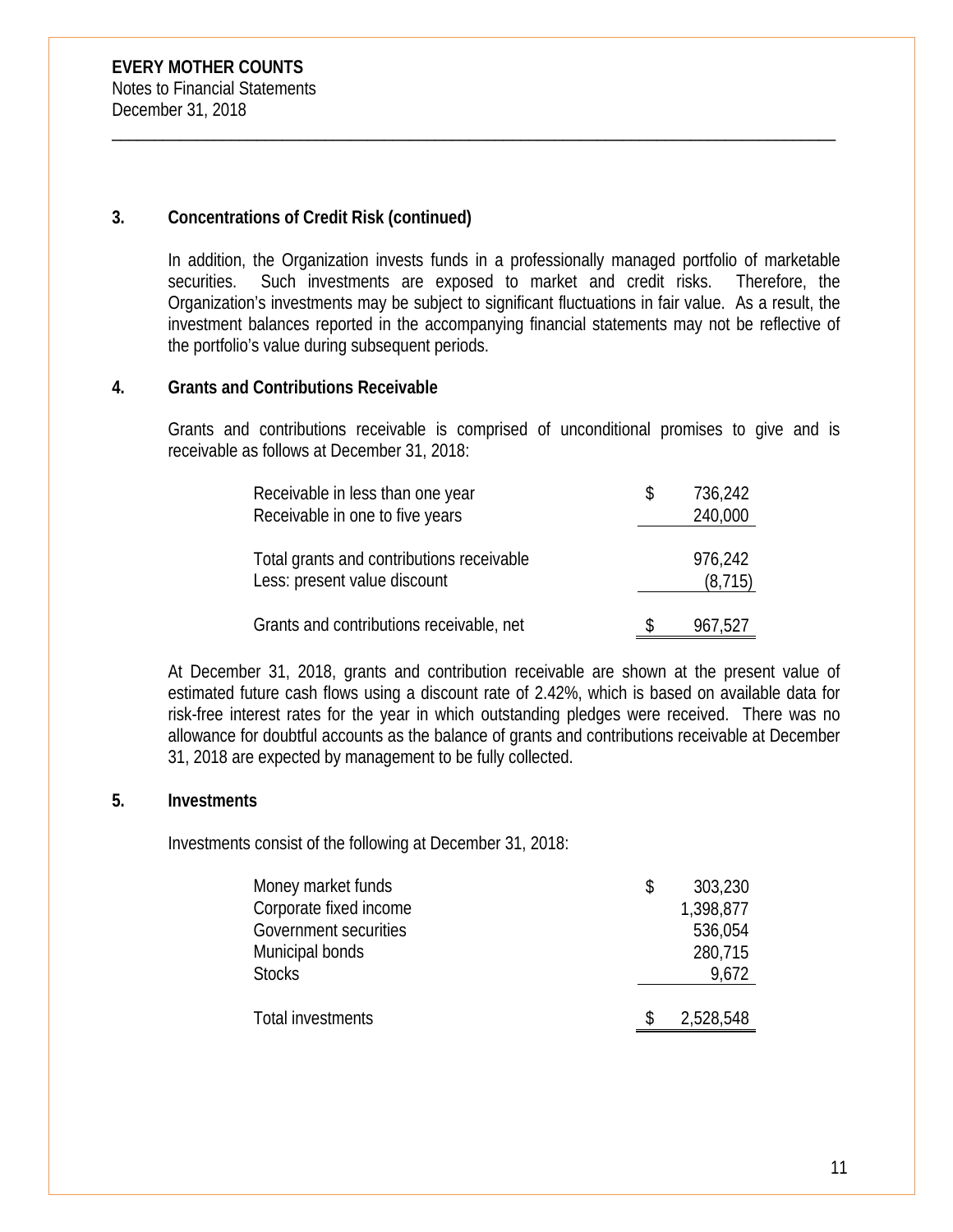# **3. Concentrations of Credit Risk (continued)**

In addition, the Organization invests funds in a professionally managed portfolio of marketable securities. Such investments are exposed to market and credit risks. Therefore, the Organization's investments may be subject to significant fluctuations in fair value. As a result, the investment balances reported in the accompanying financial statements may not be reflective of the portfolio's value during subsequent periods.

\_\_\_\_\_\_\_\_\_\_\_\_\_\_\_\_\_\_\_\_\_\_\_\_\_\_\_\_\_\_\_\_\_\_\_\_\_\_\_\_\_\_\_\_\_\_\_\_\_\_\_\_\_\_\_\_\_\_\_\_\_\_\_\_\_\_\_\_\_\_\_\_\_\_\_\_\_\_\_\_\_\_\_\_\_

#### **4. Grants and Contributions Receivable**

Grants and contributions receivable is comprised of unconditional promises to give and is receivable as follows at December 31, 2018:

| Receivable in less than one year                                          | 736,242             |
|---------------------------------------------------------------------------|---------------------|
| Receivable in one to five years                                           | 240,000             |
| Total grants and contributions receivable<br>Less: present value discount | 976,242<br>(8, 715) |
| Grants and contributions receivable, net                                  | 967,527             |

At December 31, 2018, grants and contribution receivable are shown at the present value of estimated future cash flows using a discount rate of 2.42%, which is based on available data for risk-free interest rates for the year in which outstanding pledges were received. There was no allowance for doubtful accounts as the balance of grants and contributions receivable at December 31, 2018 are expected by management to be fully collected.

#### **5. Investments**

Investments consist of the following at December 31, 2018:

| Money market funds     | 303,230   |
|------------------------|-----------|
| Corporate fixed income | 1,398,877 |
| Government securities  | 536,054   |
| Municipal bonds        | 280,715   |
| <b>Stocks</b>          | 9,672     |
|                        |           |
| Total investments      | 2,528,548 |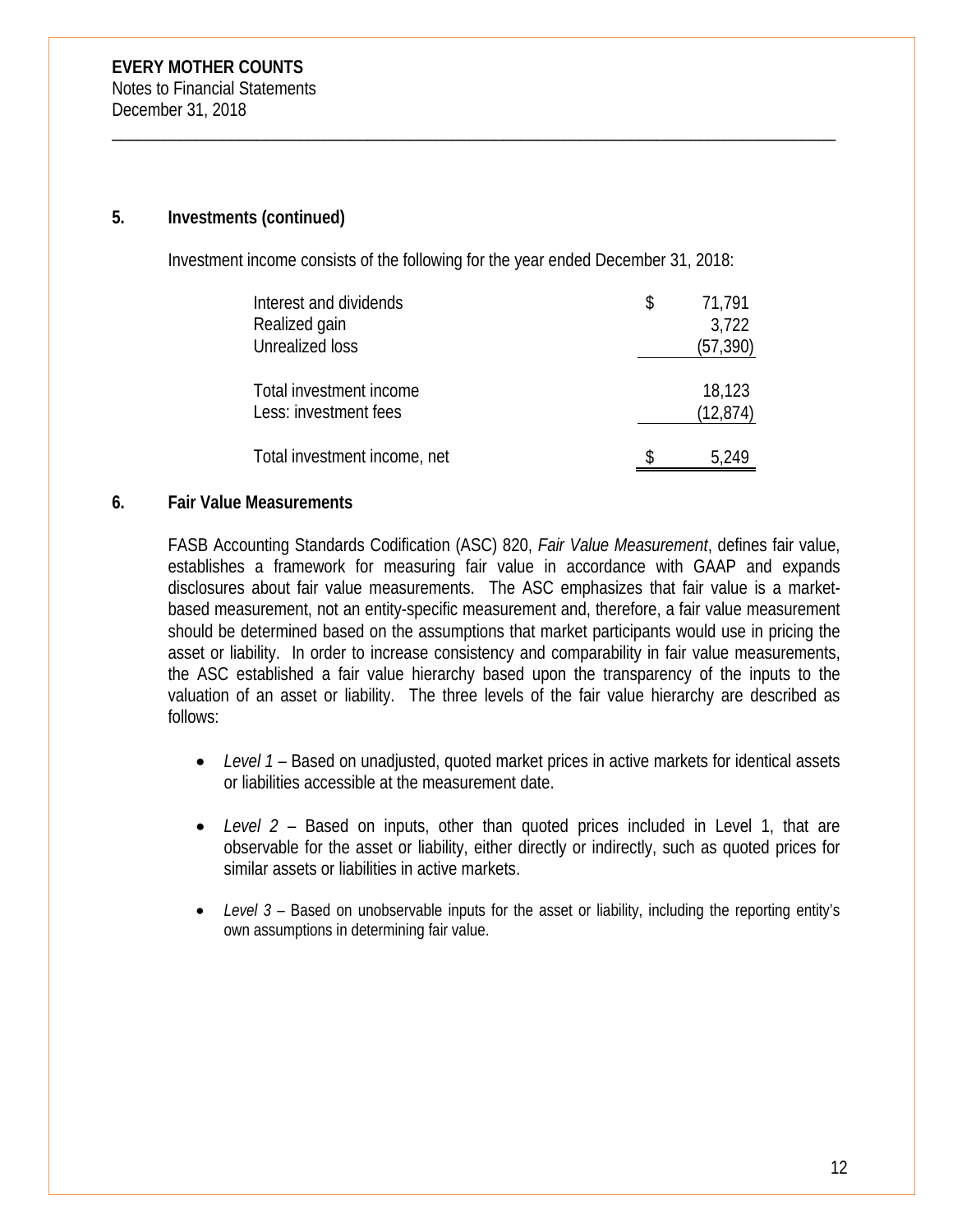#### **5. Investments (continued)**

Investment income consists of the following for the year ended December 31, 2018:

\_\_\_\_\_\_\_\_\_\_\_\_\_\_\_\_\_\_\_\_\_\_\_\_\_\_\_\_\_\_\_\_\_\_\_\_\_\_\_\_\_\_\_\_\_\_\_\_\_\_\_\_\_\_\_\_\_\_\_\_\_\_\_\_\_\_\_\_\_\_\_\_\_\_\_\_\_\_\_\_\_\_\_\_\_

| Interest and dividends<br>Realized gain<br>Unrealized loss | S | 71,791<br>3,722<br>(57, 390) |
|------------------------------------------------------------|---|------------------------------|
| Total investment income<br>Less: investment fees           |   | 18,123<br>(12, 874)          |
| Total investment income, net                               |   |                              |

#### **6. Fair Value Measurements**

FASB Accounting Standards Codification (ASC) 820, *Fair Value Measurement*, defines fair value, establishes a framework for measuring fair value in accordance with GAAP and expands disclosures about fair value measurements. The ASC emphasizes that fair value is a marketbased measurement, not an entity-specific measurement and, therefore, a fair value measurement should be determined based on the assumptions that market participants would use in pricing the asset or liability. In order to increase consistency and comparability in fair value measurements, the ASC established a fair value hierarchy based upon the transparency of the inputs to the valuation of an asset or liability. The three levels of the fair value hierarchy are described as follows:

- *Level 1* Based on unadjusted, quoted market prices in active markets for identical assets or liabilities accessible at the measurement date.
- *Level 2* Based on inputs, other than quoted prices included in Level 1, that are observable for the asset or liability, either directly or indirectly, such as quoted prices for similar assets or liabilities in active markets.
- Level 3 Based on unobservable inputs for the asset or liability, including the reporting entity's own assumptions in determining fair value.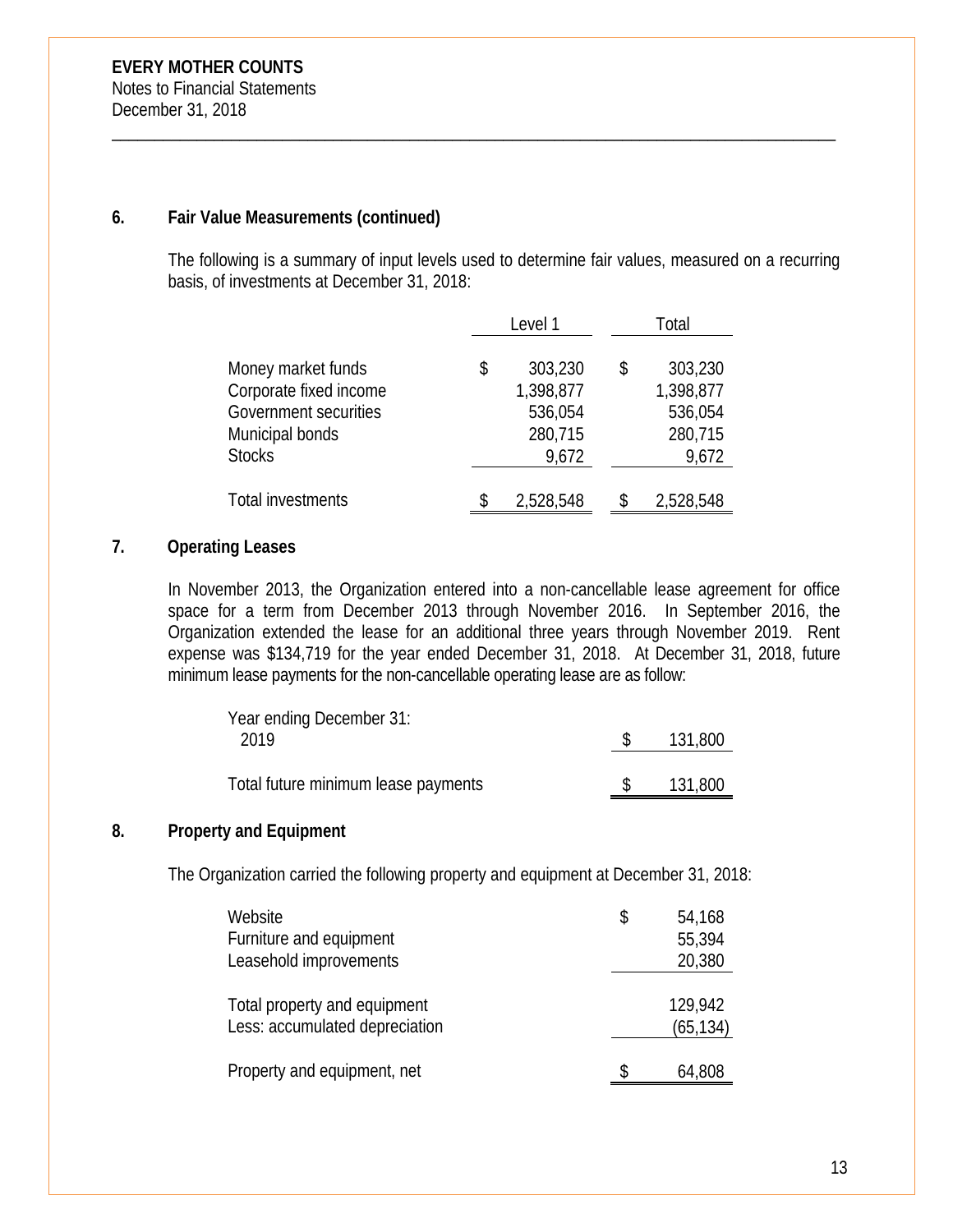# **6. Fair Value Measurements (continued)**

The following is a summary of input levels used to determine fair values, measured on a recurring basis, of investments at December 31, 2018:

\_\_\_\_\_\_\_\_\_\_\_\_\_\_\_\_\_\_\_\_\_\_\_\_\_\_\_\_\_\_\_\_\_\_\_\_\_\_\_\_\_\_\_\_\_\_\_\_\_\_\_\_\_\_\_\_\_\_\_\_\_\_\_\_\_\_\_\_\_\_\_\_\_\_\_\_\_\_\_\_\_\_\_\_\_

|                                                                                                           | Level 1 |                                                     |    | Total                                               |
|-----------------------------------------------------------------------------------------------------------|---------|-----------------------------------------------------|----|-----------------------------------------------------|
| Money market funds<br>Corporate fixed income<br>Government securities<br>Municipal bonds<br><b>Stocks</b> | \$      | 303,230<br>1,398,877<br>536,054<br>280,715<br>9,672 | \$ | 303,230<br>1,398,877<br>536,054<br>280,715<br>9,672 |
| Total investments                                                                                         |         | 2,528,548                                           |    | 2,528,548                                           |

# **7. Operating Leases**

In November 2013, the Organization entered into a non-cancellable lease agreement for office space for a term from December 2013 through November 2016. In September 2016, the Organization extended the lease for an additional three years through November 2019. Rent expense was \$134,719 for the year ended December 31, 2018. At December 31, 2018, future minimum lease payments for the non-cancellable operating lease are as follow:

| Year ending December 31:            |         |
|-------------------------------------|---------|
| 2019                                | 131,800 |
|                                     |         |
| Total future minimum lease payments | 131,800 |

# **8. Property and Equipment**

The Organization carried the following property and equipment at December 31, 2018:

| Website<br>Furniture and equipment<br>Leasehold improvements   | \$<br>54,168<br>55,394<br>20,380 |
|----------------------------------------------------------------|----------------------------------|
| Total property and equipment<br>Less: accumulated depreciation | 129,942<br>(65, 134)             |
| Property and equipment, net                                    | \$<br>64,808                     |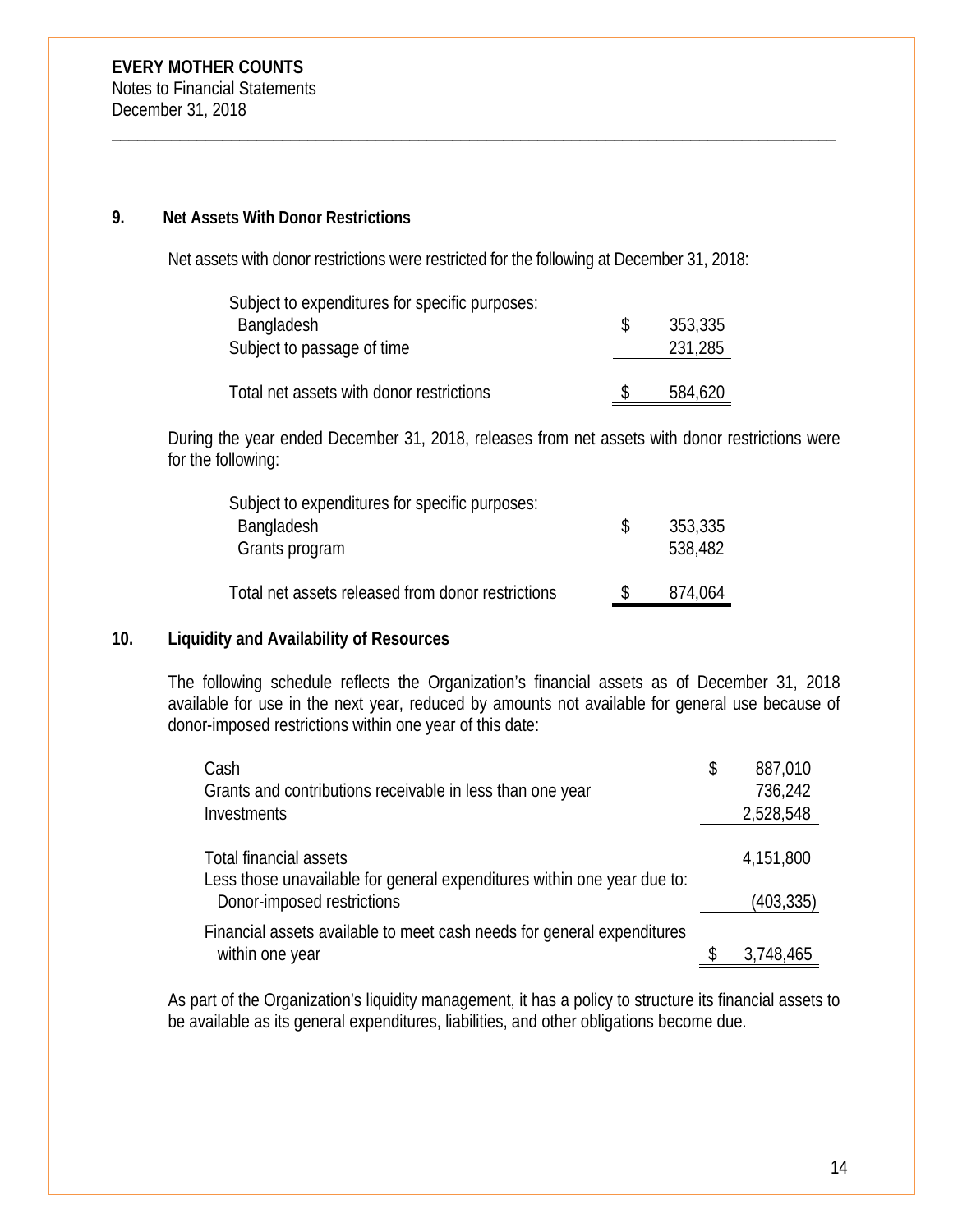#### **9. Net Assets With Donor Restrictions**

Net assets with donor restrictions were restricted for the following at December 31, 2018:

\_\_\_\_\_\_\_\_\_\_\_\_\_\_\_\_\_\_\_\_\_\_\_\_\_\_\_\_\_\_\_\_\_\_\_\_\_\_\_\_\_\_\_\_\_\_\_\_\_\_\_\_\_\_\_\_\_\_\_\_\_\_\_\_\_\_\_\_\_\_\_\_\_\_\_\_\_\_\_\_\_\_\_\_\_

| Subject to expenditures for specific purposes: |     |         |
|------------------------------------------------|-----|---------|
| <b>Bangladesh</b>                              | -S  | 353,335 |
| Subject to passage of time                     |     | 231,285 |
|                                                |     |         |
| Total net assets with donor restrictions       | \$. | 584,620 |

During the year ended December 31, 2018, releases from net assets with donor restrictions were for the following:

| Subject to expenditures for specific purposes:    |    |         |
|---------------------------------------------------|----|---------|
| <b>Bangladesh</b>                                 | -S | 353,335 |
| Grants program                                    |    | 538,482 |
|                                                   |    |         |
| Total net assets released from donor restrictions |    | 874,064 |

# **10. Liquidity and Availability of Resources**

The following schedule reflects the Organization's financial assets as of December 31, 2018 available for use in the next year, reduced by amounts not available for general use because of donor-imposed restrictions within one year of this date:

| Cash                                                                    | \$<br>887,010 |
|-------------------------------------------------------------------------|---------------|
| Grants and contributions receivable in less than one year               | 736,242       |
| Investments                                                             | 2,528,548     |
|                                                                         |               |
| <b>Total financial assets</b>                                           | 4,151,800     |
| Less those unavailable for general expenditures within one year due to: |               |
| Donor-imposed restrictions                                              | (403, 335)    |
| Financial assets available to meet cash needs for general expenditures  |               |
| within one year                                                         | 3,748,465     |

As part of the Organization's liquidity management, it has a policy to structure its financial assets to be available as its general expenditures, liabilities, and other obligations become due.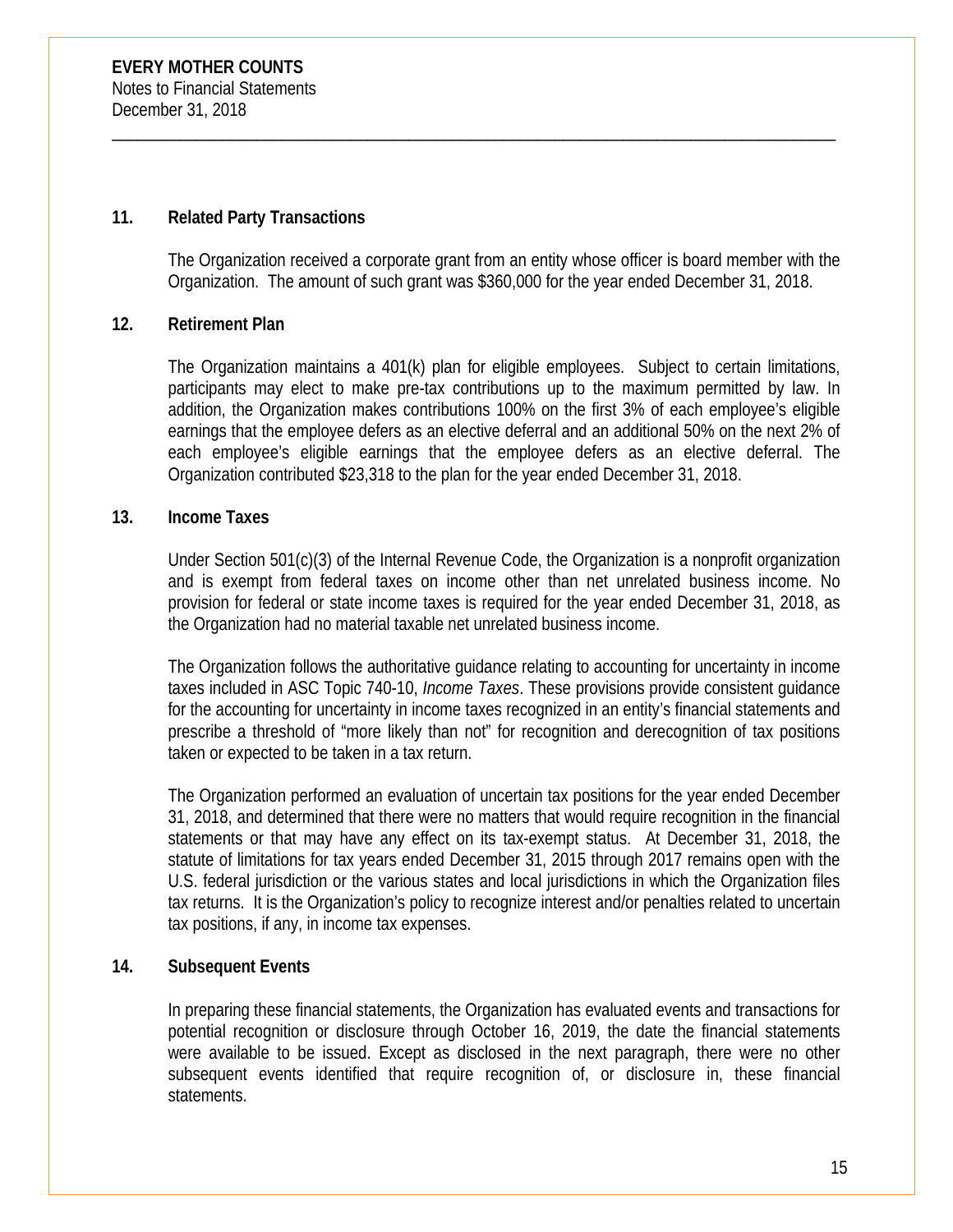# **11. Related Party Transactions**

The Organization received a corporate grant from an entity whose officer is board member with the Organization. The amount of such grant was \$360,000 for the year ended December 31, 2018.

\_\_\_\_\_\_\_\_\_\_\_\_\_\_\_\_\_\_\_\_\_\_\_\_\_\_\_\_\_\_\_\_\_\_\_\_\_\_\_\_\_\_\_\_\_\_\_\_\_\_\_\_\_\_\_\_\_\_\_\_\_\_\_\_\_\_\_\_\_\_\_\_\_\_\_\_\_\_\_\_\_\_\_\_\_

# **12. Retirement Plan**

The Organization maintains a 401(k) plan for eligible employees. Subject to certain limitations, participants may elect to make pre-tax contributions up to the maximum permitted by law. In addition, the Organization makes contributions 100% on the first 3% of each employee's eligible earnings that the employee defers as an elective deferral and an additional 50% on the next 2% of each employee's eligible earnings that the employee defers as an elective deferral. The Organization contributed \$23,318 to the plan for the year ended December 31, 2018.

# **13. Income Taxes**

Under Section 501(c)(3) of the Internal Revenue Code, the Organization is a nonprofit organization and is exempt from federal taxes on income other than net unrelated business income. No provision for federal or state income taxes is required for the year ended December 31, 2018, as the Organization had no material taxable net unrelated business income.

The Organization follows the authoritative guidance relating to accounting for uncertainty in income taxes included in ASC Topic 740-10, *Income Taxes*. These provisions provide consistent guidance for the accounting for uncertainty in income taxes recognized in an entity's financial statements and prescribe a threshold of "more likely than not" for recognition and derecognition of tax positions taken or expected to be taken in a tax return.

The Organization performed an evaluation of uncertain tax positions for the year ended December 31, 2018, and determined that there were no matters that would require recognition in the financial statements or that may have any effect on its tax-exempt status. At December 31, 2018, the statute of limitations for tax years ended December 31, 2015 through 2017 remains open with the U.S. federal jurisdiction or the various states and local jurisdictions in which the Organization files tax returns. It is the Organization's policy to recognize interest and/or penalties related to uncertain tax positions, if any, in income tax expenses.

# **14. Subsequent Events**

In preparing these financial statements, the Organization has evaluated events and transactions for potential recognition or disclosure through October 16, 2019, the date the financial statements were available to be issued. Except as disclosed in the next paragraph, there were no other subsequent events identified that require recognition of, or disclosure in, these financial statements.